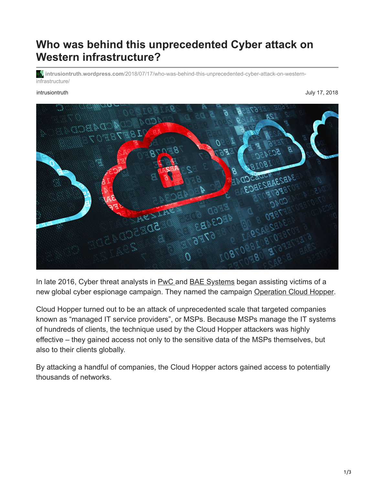## **Who was behind this unprecedented Cyber attack on Western infrastructure?**

**intrusiontruth.wordpress.com**[/2018/07/17/who-was-behind-this-unprecedented-cyber-attack-on-western](https://intrusiontruth.wordpress.com/2018/07/17/who-was-behind-this-unprecedented-cyber-attack-on-western-infrastructure/)infrastructure/

intrusiontruth July 17, 2018



In late 2016, Cyber threat analysts in **PwC** and **[BAE Systems](https://www.baesystems.com/en/cybersecurity/home)** began assisting victims of a new global cyber espionage campaign. They named the campaign [Operation Cloud Hopper](https://www.pwc.co.uk/issues/cyber-security-data-privacy/insights/operation-cloud-hopper.html).

Cloud Hopper turned out to be an attack of unprecedented scale that targeted companies known as "managed IT service providers", or MSPs. Because MSPs manage the IT systems of hundreds of clients, the technique used by the Cloud Hopper attackers was highly effective – they gained access not only to the sensitive data of the MSPs themselves, but also to their clients globally.

By attacking a handful of companies, the Cloud Hopper actors gained access to potentially thousands of networks.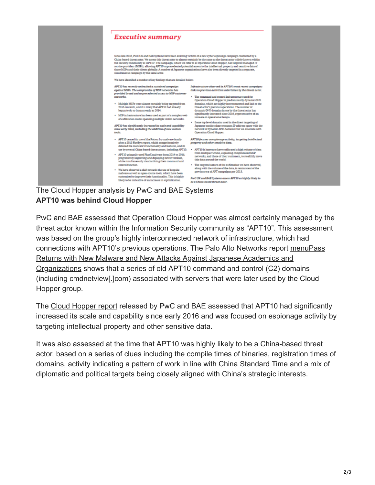

## **APT10 was behind Cloud Hopper**

PwC and BAE assessed that Operation Cloud Hopper was almost certainly managed by the threat actor known within the Information Security community as "APT10". This assessment was based on the group's highly interconnected network of infrastructure, which had [connections with APT10's previous operations. The Palo Alto Networks report menuPass](https://researchcenter.paloaltonetworks.com/2017/02/unit42-menupass-returns-new-malware-new-attacks-japanese-academics-organizations/) Returns with New Malware and New Attacks Against Japanese Academics and Organizations shows that a series of old APT10 command and control (C2) domains (including cmdnetview[.]com) associated with servers that were later used by the Cloud Hopper group.

The [Cloud Hopper report](https://www.pwc.co.uk/cyber-security/pdf/cloud-hopper-report-final-v4.pdf) released by PwC and BAE assessed that APT10 had significantly increased its scale and capability since early 2016 and was focused on espionage activity by targeting intellectual property and other sensitive data.

It was also assessed at the time that APT10 was highly likely to be a China-based threat actor, based on a series of clues including the compile times of binaries, registration times of domains, activity indicating a pattern of work in line with China Standard Time and a mix of diplomatic and political targets being closely aligned with China's strategic interests.